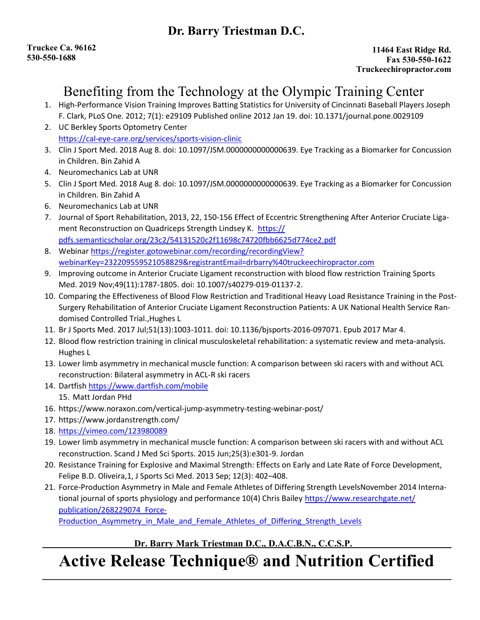### Dr. Barry Triestman D.C.

### Benefiting from the Technology at the Olympic Training Center

- 1. High-Performance Vision Training Improves Batting Statistics for University of Cincinnati Baseball Players Joseph F. Clark, PLoS One. 2012; 7(1): e29109 Published online 2012 Jan 19. doi: 10.1371/journal.pone.0029109
- 2. UC Berkley Sports Optometry Center https://cal-eye-care.org/services/sports-vision-clinic
- 3. Clin J Sport Med. 2018 Aug 8. doi: 10.1097/JSM.0000000000000639. Eye Tracking as a Biomarker for Concussion in Children. Bin Zahid A
- 4. Neuromechanics Lab at UNR
- 5. Clin J Sport Med. 2018 Aug 8. doi: 10.1097/JSM.0000000000000639. Eye Tracking as a Biomarker for Concussion in Children. Bin Zahid A
- 6. Neuromechanics Lab at UNR
- 7. Journal of Sport Rehabilitation, 2013, 22, 150-156 Effect of Eccentric Strengthening After Anterior Cruciate Ligament Reconstruction on Quadriceps Strength Lindsey K. https:// pdfs.semanticscholar.org/23c2/54131520c2f11698c74720fbb6625d774ce2.pdf
- 8. Webinar https://register.gotowebinar.com/recording/recordingView? webinarKey=232209559521058829&registrantEmail=drbarry%40truckeechiropractor.com
- 9. Improving outcome in Anterior Cruciate Ligament reconstruction with blood flow restriction Training Sports Med. 2019 Nov;49(11):1787-1805. doi: 10.1007/s40279-019-01137-2.
- 10. Comparing the Effectiveness of Blood Flow Restriction and Traditional Heavy Load Resistance Training in the Post-Surgery Rehabilitation of Anterior Cruciate Ligament Reconstruction Patients: A UK National Health Service Randomised Controlled Trial.,Hughes L
- 11. Br J Sports Med. 2017 Jul;51(13):1003-1011. doi: 10.1136/bjsports-2016-097071. Epub 2017 Mar 4.
- 12. Blood flow restriction training in clinical musculoskeletal rehabilitation: a systematic review and meta-analysis. Hughes L
- 13. Lower limb asymmetry in mechanical muscle function: A comparison between ski racers with and without ACL reconstruction: Bilateral asymmetry in ACL-R ski racers
- 14. Dartfish https://www.dartfish.com/mobile
- 15. Matt Jordan PHd
- 16. https://www.noraxon.com/vertical-jump-asymmetry-testing-webinar-post/
- 17. https://www.jordanstrength.com/
- 18. https://vimeo.com/123980089
- 19. Lower limb asymmetry in mechanical muscle function: A comparison between ski racers with and without ACL reconstruction. Scand J Med Sci Sports. 2015 Jun;25(3):e301-9. Jordan
- 20. Resistance Training for Explosive and Maximal Strength: Effects on Early and Late Rate of Force Development, Felipe B.D. Oliveira,1, J Sports Sci Med. 2013 Sep; 12(3): 402–408.
- 21. Force-Production Asymmetry in Male and Female Athletes of Differing Strength LevelsNovember 2014 International journal of sports physiology and performance 10(4) Chris Bailey https://www.researchgate.net/ publication/268229074\_Force-

Production Asymmetry in Male and Female Athletes of Differing Strength Levels

#### Dr. Barry Mark Triestman D.C., D.A.C.B.N., C.C.S.P.

# Active Release Technique® and Nutrition Certified